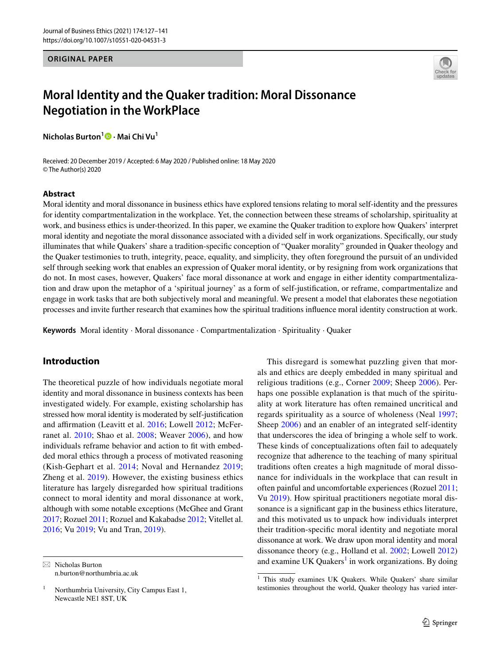### **ORIGINAL PAPER**



# **Moral Identity and the Quaker tradition: Moral Dissonance Negotiation in the WorkPlace**

**Nicholas Burton1  [·](http://orcid.org/0000-0003-3140-9776) Mai Chi Vu1**

Received: 20 December 2019 / Accepted: 6 May 2020 / Published online: 18 May 2020 © The Author(s) 2020

### **Abstract**

Moral identity and moral dissonance in business ethics have explored tensions relating to moral self-identity and the pressures for identity compartmentalization in the workplace. Yet, the connection between these streams of scholarship, spirituality at work, and business ethics is under-theorized. In this paper, we examine the Quaker tradition to explore how Quakers' interpret moral identity and negotiate the moral dissonance associated with a divided self in work organizations. Specifcally, our study illuminates that while Quakers' share a tradition-specifc conception of "Quaker morality" grounded in Quaker theology and the Quaker testimonies to truth, integrity, peace, equality, and simplicity, they often foreground the pursuit of an undivided self through seeking work that enables an expression of Quaker moral identity, or by resigning from work organizations that do not. In most cases, however, Quakers' face moral dissonance at work and engage in either identity compartmentalization and draw upon the metaphor of a 'spiritual journey' as a form of self-justifcation, or reframe, compartmentalize and engage in work tasks that are both subjectively moral and meaningful. We present a model that elaborates these negotiation processes and invite further research that examines how the spiritual traditions infuence moral identity construction at work.

**Keywords** Moral identity · Moral dissonance · Compartmentalization · Spirituality · Quaker

## **Introduction**

The theoretical puzzle of how individuals negotiate moral identity and moral dissonance in business contexts has been investigated widely. For example, existing scholarship has stressed how moral identity is moderated by self-justifcation and affirmation (Leavitt et al. [2016](#page-12-0); Lowell [2012](#page-12-1); McFerranet al. [2010;](#page-13-0) Shao et al. [2008;](#page-13-1) Weaver [2006](#page-14-0)), and how individuals reframe behavior and action to ft with embedded moral ethics through a process of motivated reasoning (Kish-Gephart et al. [2014;](#page-12-2) Noval and Hernandez [2019](#page-13-2); Zheng et al. [2019](#page-14-1)). However, the existing business ethics literature has largely disregarded how spiritual traditions connect to moral identity and moral dissonance at work, although with some notable exceptions (McGhee and Grant [2017;](#page-13-3) Rozuel [2011;](#page-13-4) Rozuel and Kakabadse [2012;](#page-13-5) Vitellet al. [2016](#page-13-6); Vu [2019;](#page-13-7) Vu and Tran, [2019](#page-13-8)).

n.burton@northumbria.ac.uk

This disregard is somewhat puzzling given that morals and ethics are deeply embedded in many spiritual and religious traditions (e.g., Corner [2009;](#page-12-3) Sheep [2006\)](#page-13-9). Perhaps one possible explanation is that much of the spirituality at work literature has often remained uncritical and regards spirituality as a source of wholeness (Neal [1997](#page-13-10); Sheep [2006\)](#page-13-9) and an enabler of an integrated self-identity that underscores the idea of bringing a whole self to work. These kinds of conceptualizations often fail to adequately recognize that adherence to the teaching of many spiritual traditions often creates a high magnitude of moral dissonance for individuals in the workplace that can result in often painful and uncomfortable experiences (Rozuel [2011](#page-13-4); Vu [2019](#page-13-7)). How spiritual practitioners negotiate moral dissonance is a signifcant gap in the business ethics literature, and this motivated us to unpack how individuals interpret their tradition-specifc moral identity and negotiate moral dissonance at work. We draw upon moral identity and moral dissonance theory (e.g., Holland et al. [2002;](#page-12-4) Lowell [2012\)](#page-12-1)  $\overline{\otimes}$  Nicholas Burton and examine UK Quakers<sup>1</sup> in work organizations. By doing

<sup>&</sup>lt;sup>1</sup> Northumbria University, City Campus East 1, Newcastle NE1 8ST, UK

<span id="page-0-0"></span><sup>&</sup>lt;sup>1</sup> This study examines UK Quakers. While Quakers' share similar testimonies throughout the world, Quaker theology has varied inter-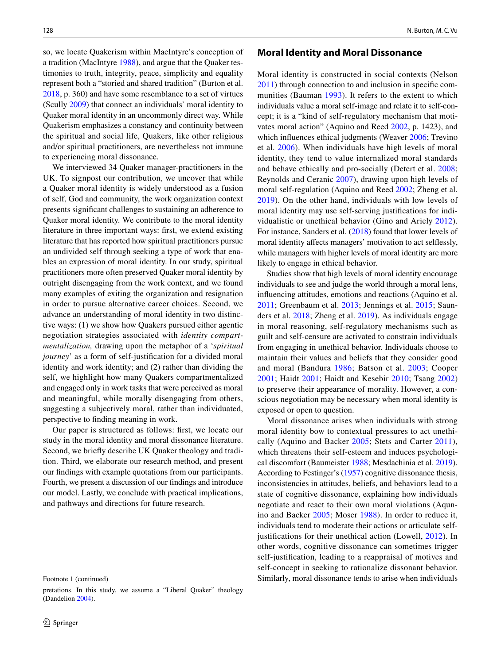so, we locate Quakerism within MacIntyre's conception of a tradition (MacIntyre [1988\)](#page-12-5), and argue that the Quaker testimonies to truth, integrity, peace, simplicity and equality represent both a "storied and shared tradition" (Burton et al. [2018](#page-12-6), p. 360) and have some resemblance to a set of virtues (Scully [2009\)](#page-13-11) that connect an individuals' moral identity to Quaker moral identity in an uncommonly direct way. While Quakerism emphasizes a constancy and continuity between the spiritual and social life, Quakers, like other religious and/or spiritual practitioners, are nevertheless not immune to experiencing moral dissonance.

We interviewed 34 Quaker manager-practitioners in the UK. To signpost our contribution, we uncover that while a Quaker moral identity is widely understood as a fusion of self, God and community, the work organization context presents signifcant challenges to sustaining an adherence to Quaker moral identity. We contribute to the moral identity literature in three important ways: frst, we extend existing literature that has reported how spiritual practitioners pursue an undivided self through seeking a type of work that enables an expression of moral identity. In our study, spiritual practitioners more often preserved Quaker moral identity by outright disengaging from the work context, and we found many examples of exiting the organization and resignation in order to pursue alternative career choices. Second, we advance an understanding of moral identity in two distinctive ways: (1) we show how Quakers pursued either agentic negotiation strategies associated with *identity compartmentalization,* drawing upon the metaphor of a '*spiritual journey*' as a form of self-justifcation for a divided moral identity and work identity; and (2) rather than dividing the self, we highlight how many Quakers compartmentalized and engaged only in work tasks that were perceived as moral and meaningful, while morally disengaging from others, suggesting a subjectively moral, rather than individuated, perspective to fnding meaning in work.

Our paper is structured as follows: frst, we locate our study in the moral identity and moral dissonance literature. Second, we briefy describe UK Quaker theology and tradition. Third, we elaborate our research method, and present our fndings with example quotations from our participants. Fourth, we present a discussion of our fndings and introduce our model. Lastly, we conclude with practical implications, and pathways and directions for future research.

### **Moral Identity and Moral Dissonance**

Moral identity is constructed in social contexts (Nelson [2011](#page-13-12)) through connection to and inclusion in specifc communities (Bauman [1993\)](#page-11-0). It refers to the extent to which individuals value a moral self-image and relate it to self-concept; it is a "kind of self-regulatory mechanism that motivates moral action" (Aquino and Reed [2002](#page-11-1), p. 1423), and which influences ethical judgments (Weaver [2006](#page-14-0); Trevino et al. [2006\)](#page-13-13). When individuals have high levels of moral identity, they tend to value internalized moral standards and behave ethically and pro-socially (Detert et al. [2008](#page-12-7); Reynolds and Ceranic [2007](#page-13-14)), drawing upon high levels of moral self-regulation (Aquino and Reed [2002;](#page-11-1) Zheng et al. [2019\)](#page-14-1). On the other hand, individuals with low levels of moral identity may use self-serving justifcations for individualistic or unethical behavior (Gino and Ariely [2012](#page-12-8)). For instance, Sanders et al. [\(2018](#page-13-15)) found that lower levels of moral identity afects managers' motivation to act selfessly, while managers with higher levels of moral identity are more likely to engage in ethical behavior.

Studies show that high levels of moral identity encourage individuals to see and judge the world through a moral lens, infuencing attitudes, emotions and reactions (Aquino et al. [2011;](#page-11-2) Greenbaum et al. [2013;](#page-12-9) Jennings et al. [2015;](#page-12-10) Saunders et al. [2018;](#page-13-15) Zheng et al. [2019\)](#page-14-1). As individuals engage in moral reasoning, self-regulatory mechanisms such as guilt and self-censure are activated to constrain individuals from engaging in unethical behavior. Individuals choose to maintain their values and beliefs that they consider good and moral (Bandura [1986;](#page-11-3) Batson et al. [2003](#page-11-4); Cooper [2001;](#page-12-11) Haidt [2001;](#page-12-12) Haidt and Kesebir [2010](#page-12-13); Tsang [2002\)](#page-13-16) to preserve their appearance of morality. However, a conscious negotiation may be necessary when moral identity is exposed or open to question.

Moral dissonance arises when individuals with strong moral identity bow to contextual pressures to act unethically (Aquino and Backer [2005](#page-11-5); Stets and Carter [2011](#page-13-17)), which threatens their self-esteem and induces psychological discomfort (Baumeister [1988;](#page-11-6) Mesdachinia et al. [2019](#page-13-18)). According to Festinger's ([1957\)](#page-12-14) cognitive dissonance thesis, inconsistencies in attitudes, beliefs, and behaviors lead to a state of cognitive dissonance, explaining how individuals negotiate and react to their own moral violations (Aqunino and Backer [2005;](#page-11-5) Moser [1988\)](#page-13-19). In order to reduce it, individuals tend to moderate their actions or articulate self-justifications for their unethical action (Lowell, [2012\)](#page-12-1). In other words, cognitive dissonance can sometimes trigger self-justifcation, leading to a reappraisal of motives and self-concept in seeking to rationalize dissonant behavior. Footnote 1 (continued) Similarly, moral dissonance tends to arise when individuals

pretations. In this study, we assume a "Liberal Quaker" theology (Dandelion [2004](#page-12-15)).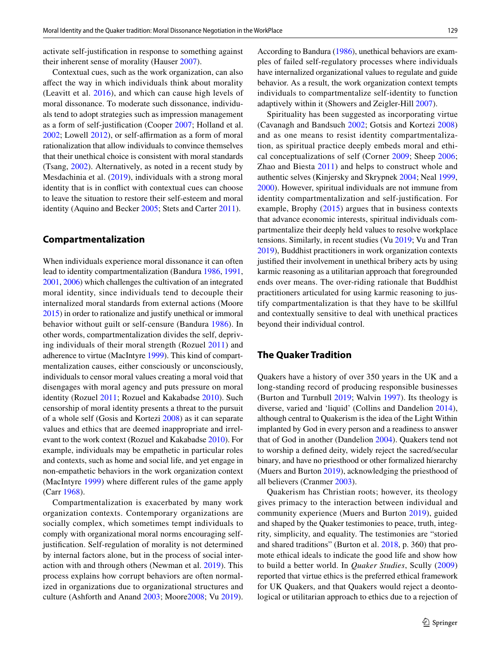activate self-justifcation in response to something against their inherent sense of morality (Hauser [2007](#page-12-16)).

Contextual cues, such as the work organization, can also afect the way in which individuals think about morality (Leavitt et al. [2016\)](#page-12-0), and which can cause high levels of moral dissonance. To moderate such dissonance, individuals tend to adopt strategies such as impression management as a form of self-justifcation (Cooper [2007](#page-12-17); Holland et al. [2002](#page-12-4); Lowell [2012](#page-12-1)), or self-afrmation as a form of moral rationalization that allow individuals to convince themselves that their unethical choice is consistent with moral standards (Tsang, [2002\)](#page-13-16). Alternatively, as noted in a recent study by Mesdachinia et al. ([2019](#page-13-18)), individuals with a strong moral identity that is in confict with contextual cues can choose to leave the situation to restore their self-esteem and moral identity (Aquino and Becker [2005](#page-11-5); Stets and Carter [2011](#page-13-17)).

## **Compartmentalization**

When individuals experience moral dissonance it can often lead to identity compartmentalization (Bandura [1986,](#page-11-3) [1991,](#page-11-7) [2001,](#page-11-8) [2006\)](#page-11-9) which challenges the cultivation of an integrated moral identity, since individuals tend to decouple their internalized moral standards from external actions (Moore [2015\)](#page-13-20) in order to rationalize and justify unethical or immoral behavior without guilt or self-censure (Bandura [1986\)](#page-11-3). In other words, compartmentalization divides the self, depriving individuals of their moral strength (Rozuel [2011](#page-13-4)) and adherence to virtue (MacIntyre [1999](#page-13-21)). This kind of compartmentalization causes, either consciously or unconsciously, individuals to censor moral values creating a moral void that disengages with moral agency and puts pressure on moral identity (Rozuel [2011](#page-13-4); Rozuel and Kakabadse [2010\)](#page-13-5). Such censorship of moral identity presents a threat to the pursuit of a whole self (Gosis and Kortezi [2008\)](#page-12-18) as it can separate values and ethics that are deemed inappropriate and irrelevant to the work context (Rozuel and Kakabadse [2010](#page-13-5)). For example, individuals may be empathetic in particular roles and contexts, such as home and social life, and yet engage in non-empathetic behaviors in the work organization context (MacIntyre [1999](#page-13-21)) where diferent rules of the game apply (Carr [1968](#page-12-19)).

Compartmentalization is exacerbated by many work organization contexts. Contemporary organizations are socially complex, which sometimes tempt individuals to comply with organizational moral norms encouraging selfjustifcation. Self-regulation of morality is not determined by internal factors alone, but in the process of social interaction with and through others (Newman et al. [2019\)](#page-13-22). This process explains how corrupt behaviors are often normalized in organizations due to organizational structures and culture (Ashforth and Anand [2003;](#page-11-10) Moore[2008](#page-13-23); Vu [2019](#page-13-7)).

According to Bandura ([1986\)](#page-11-3), unethical behaviors are examples of failed self-regulatory processes where individuals have internalized organizational values to regulate and guide behavior. As a result, the work organization context tempts individuals to compartmentalize self-identity to function adaptively within it (Showers and Zeigler-Hill [2007\)](#page-13-24).

Spirituality has been suggested as incorporating virtue (Cavanagh and Bandsuch [2002](#page-12-20); Gotsis and Kortezi [2008\)](#page-12-18) and as one means to resist identity compartmentalization, as spiritual practice deeply embeds moral and ethical conceptualizations of self (Corner [2009;](#page-12-3) Sheep [2006](#page-13-9); Zhao and Biesta [2011](#page-14-2)) and helps to construct whole and authentic selves (Kinjersky and Skrypnek [2004](#page-12-21); Neal [1999,](#page-13-25) [2000](#page-13-26)). However, spiritual individuals are not immune from identity compartmentalization and self-justifcation. For example, Brophy ([2015\)](#page-12-22) argues that in business contexts that advance economic interests, spiritual individuals compartmentalize their deeply held values to resolve workplace tensions. Similarly, in recent studies (Vu [2019;](#page-13-7) Vu and Tran [2019](#page-13-8)), Buddhist practitioners in work organization contexts justifed their involvement in unethical bribery acts by using karmic reasoning as a utilitarian approach that foregrounded ends over means. The over-riding rationale that Buddhist practitioners articulated for using karmic reasoning to justify compartmentalization is that they have to be skillful and contextually sensitive to deal with unethical practices beyond their individual control.

## **The Quaker Tradition**

Quakers have a history of over 350 years in the UK and a long-standing record of producing responsible businesses (Burton and Turnbull [2019;](#page-12-23) Walvin [1997](#page-14-3)). Its theology is diverse, varied and 'liquid' (Collins and Dandelion [2014](#page-12-24)), although central to Quakerism is the idea of the Light Within implanted by God in every person and a readiness to answer that of God in another (Dandelion [2004\)](#page-12-15). Quakers tend not to worship a defned deity, widely reject the sacred/secular binary, and have no priesthood or other formalized hierarchy (Muers and Burton [2019\)](#page-13-27), acknowledging the priesthood of all believers (Cranmer [2003\)](#page-12-25).

Quakerism has Christian roots; however, its theology gives primacy to the interaction between individual and community experience (Muers and Burton [2019](#page-13-27)), guided and shaped by the Quaker testimonies to peace, truth, integrity, simplicity, and equality. The testimonies are "storied and shared traditions" (Burton et al. [2018,](#page-12-6) p. 360) that promote ethical ideals to indicate the good life and show how to build a better world. In *Quaker Studies*, Scully [\(2009\)](#page-13-11) reported that virtue ethics is the preferred ethical framework for UK Quakers, and that Quakers would reject a deontological or utilitarian approach to ethics due to a rejection of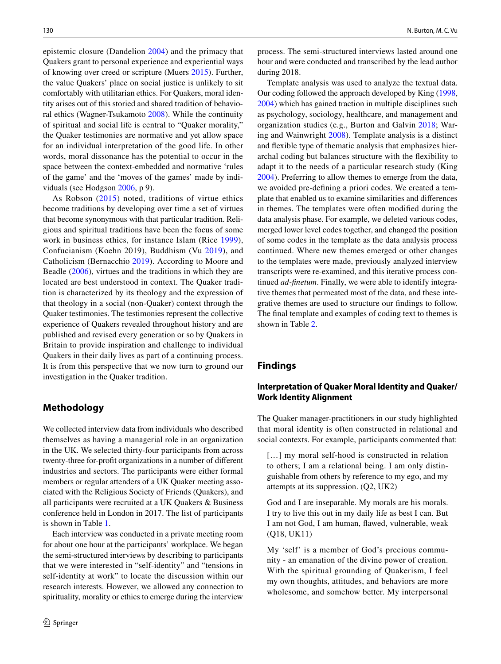epistemic closure (Dandelion [2004\)](#page-12-15) and the primacy that Quakers grant to personal experience and experiential ways of knowing over creed or scripture (Muers [2015\)](#page-13-28). Further, the value Quakers' place on social justice is unlikely to sit comfortably with utilitarian ethics. For Quakers, moral identity arises out of this storied and shared tradition of behavioral ethics (Wagner-Tsukamoto [2008](#page-13-29)). While the continuity of spiritual and social life is central to "Quaker morality," the Quaker testimonies are normative and yet allow space for an individual interpretation of the good life. In other words, moral dissonance has the potential to occur in the space between the context-embedded and normative 'rules of the game' and the 'moves of the games' made by individuals (see Hodgson [2006](#page-12-26), p 9).

As Robson ([2015](#page-13-30)) noted, traditions of virtue ethics become traditions by developing over time a set of virtues that become synonymous with that particular tradition. Religious and spiritual traditions have been the focus of some work in business ethics, for instance Islam (Rice [1999](#page-13-31)), Confucianism (Koehn 2019), Buddhism (Vu [2019\)](#page-13-7), and Catholicism (Bernacchio [2019\)](#page-11-11). According to Moore and Beadle [\(2006\)](#page-13-32), virtues and the traditions in which they are located are best understood in context. The Quaker tradition is characterized by its theology and the expression of that theology in a social (non-Quaker) context through the Quaker testimonies. The testimonies represent the collective experience of Quakers revealed throughout history and are published and revised every generation or so by Quakers in Britain to provide inspiration and challenge to individual Quakers in their daily lives as part of a continuing process. It is from this perspective that we now turn to ground our investigation in the Quaker tradition.

## **Methodology**

We collected interview data from individuals who described themselves as having a managerial role in an organization in the UK. We selected thirty-four participants from across twenty-three for-proft organizations in a number of diferent industries and sectors. The participants were either formal members or regular attenders of a UK Quaker meeting associated with the Religious Society of Friends (Quakers), and all participants were recruited at a UK Quakers & Business conference held in London in 2017. The list of participants is shown in Table [1](#page-4-0).

Each interview was conducted in a private meeting room for about one hour at the participants' workplace. We began the semi-structured interviews by describing to participants that we were interested in "self-identity" and "tensions in self-identity at work" to locate the discussion within our research interests. However, we allowed any connection to spirituality, morality or ethics to emerge during the interview

process. The semi-structured interviews lasted around one hour and were conducted and transcribed by the lead author during 2018.

Template analysis was used to analyze the textual data. Our coding followed the approach developed by King ([1998,](#page-12-27) [2004](#page-12-28)) which has gained traction in multiple disciplines such as psychology, sociology, healthcare, and management and organization studies (e.g., Burton and Galvin [2018](#page-12-29); Waring and Wainwright [2008](#page-14-4)). Template analysis is a distinct and fexible type of thematic analysis that emphasizes hierarchal coding but balances structure with the fexibility to adapt it to the needs of a particular research study (King [2004](#page-12-28)). Preferring to allow themes to emerge from the data, we avoided pre-defning a priori codes. We created a template that enabled us to examine similarities and diferences in themes. The templates were often modifed during the data analysis phase. For example, we deleted various codes, merged lower level codes together, and changed the position of some codes in the template as the data analysis process continued. Where new themes emerged or other changes to the templates were made, previously analyzed interview transcripts were re-examined, and this iterative process continued *ad-fnetum*. Finally, we were able to identify integrative themes that permeated most of the data, and these integrative themes are used to structure our fndings to follow. The fnal template and examples of coding text to themes is shown in Table [2](#page-5-0).

## **Findings**

## **Interpretation of Quaker Moral Identity and Quaker/ Work Identity Alignment**

The Quaker manager-practitioners in our study highlighted that moral identity is often constructed in relational and social contexts. For example, participants commented that:

[...] my moral self-hood is constructed in relation to others; I am a relational being. I am only distinguishable from others by reference to my ego, and my attempts at its suppression. (Q2, UK2)

God and I are inseparable. My morals are his morals. I try to live this out in my daily life as best I can. But I am not God, I am human, fawed, vulnerable, weak (Q18, UK11)

My 'self' is a member of God's precious community - an emanation of the divine power of creation. With the spiritual grounding of Quakerism, I feel my own thoughts, attitudes, and behaviors are more wholesome, and somehow better. My interpersonal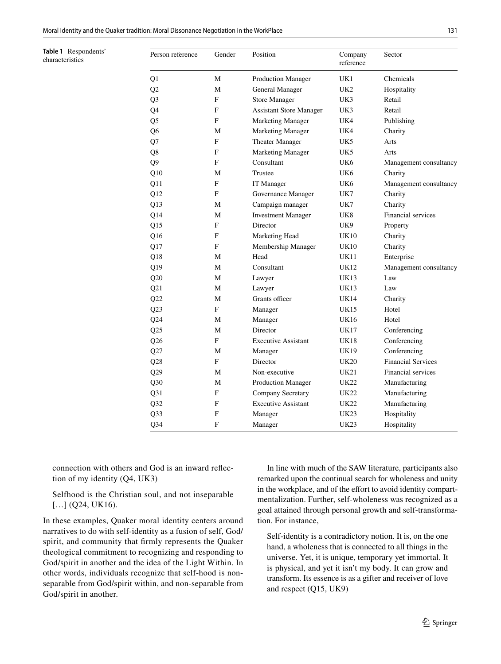<span id="page-4-0"></span>**Table 1** Respondents' characteristics

| Person reference | Gender | Position                       | Company<br>reference | Sector                    |
|------------------|--------|--------------------------------|----------------------|---------------------------|
| Q1               | M      | Production Manager             | UK1                  | Chemicals                 |
| Q2               | М      | <b>General Manager</b>         | UK <sub>2</sub>      | Hospitality               |
| Q <sub>3</sub>   | F      | <b>Store Manager</b>           | UK3                  | Retail                    |
| Q4               | F      | <b>Assistant Store Manager</b> | UK3                  | Retail                    |
| Q <sub>5</sub>   | F      | <b>Marketing Manager</b>       | UK4                  | Publishing                |
| Q6               | М      | <b>Marketing Manager</b>       | UK4                  | Charity                   |
| Q7               | F      | Theater Manager                | UK5                  | Arts                      |
| Q8               | F      | <b>Marketing Manager</b>       | UK5                  | Arts                      |
| Q <sub>9</sub>   | F      | Consultant                     | UK <sub>6</sub>      | Management consultancy    |
| Q10              | М      | Trustee                        | UK6                  | Charity                   |
| Q11              | F      | IT Manager                     | UK <sub>6</sub>      | Management consultancy    |
| Q12              | F      | Governance Manager             | UK7                  | Charity                   |
| Q13              | М      | Campaign manager               | UK7                  | Charity                   |
| Q14              | М      | <b>Investment Manager</b>      | UK8                  | Financial services        |
| Q15              | F      | Director                       | UK9                  | Property                  |
| Q16              | F      | Marketing Head                 | <b>UK10</b>          | Charity                   |
| Q17              | F      | Membership Manager             | UK10                 | Charity                   |
| Q18              | М      | Head                           | UK11                 | Enterprise                |
| Q19              | М      | Consultant                     | UK12                 | Management consultancy    |
| Q20              | М      | Lawyer                         | UK13                 | Law                       |
| Q21              | М      | Lawyer                         | UK13                 | Law                       |
| Q22              | М      | Grants officer                 | <b>UK14</b>          | Charity                   |
| Q23              | F      | Manager                        | <b>UK15</b>          | Hotel                     |
| Q24              | М      | Manager                        | UK16                 | Hotel                     |
| Q25              | М      | Director                       | UK17                 | Conferencing              |
| Q26              | F      | <b>Executive Assistant</b>     | UK18                 | Conferencing              |
| Q27              | М      | Manager                        | UK19                 | Conferencing              |
| Q28              | F      | Director                       | <b>UK20</b>          | <b>Financial Services</b> |
| Q29              | М      | Non-executive                  | UK21                 | Financial services        |
| Q30              | М      | Production Manager             | UK22                 | Manufacturing             |
| Q31              | F      | Company Secretary              | UK22                 | Manufacturing             |
| Q <sub>32</sub>  | F      | <b>Executive Assistant</b>     | UK22                 | Manufacturing             |
| Q <sub>3</sub> 3 | F      | Manager                        | <b>UK23</b>          | Hospitality               |
| $Q$ 34           | F      | Manager                        | UK23                 | Hospitality               |

connection with others and God is an inward refection of my identity (Q4, UK3)

Selfhood is the Christian soul, and not inseparable [...] (Q24, UK16).

In these examples, Quaker moral identity centers around narratives to do with self-identity as a fusion of self, God/ spirit, and community that frmly represents the Quaker theological commitment to recognizing and responding to God/spirit in another and the idea of the Light Within. In other words, individuals recognize that self-hood is nonseparable from God/spirit within, and non-separable from God/spirit in another.

In line with much of the SAW literature, participants also remarked upon the continual search for wholeness and unity in the workplace, and of the effort to avoid identity compartmentalization. Further, self-wholeness was recognized as a goal attained through personal growth and self-transformation. For instance,

Self-identity is a contradictory notion. It is, on the one hand, a wholeness that is connected to all things in the universe. Yet, it is unique, temporary yet immortal. It is physical, and yet it isn't my body. It can grow and transform. Its essence is as a gifter and receiver of love and respect (Q15, UK9)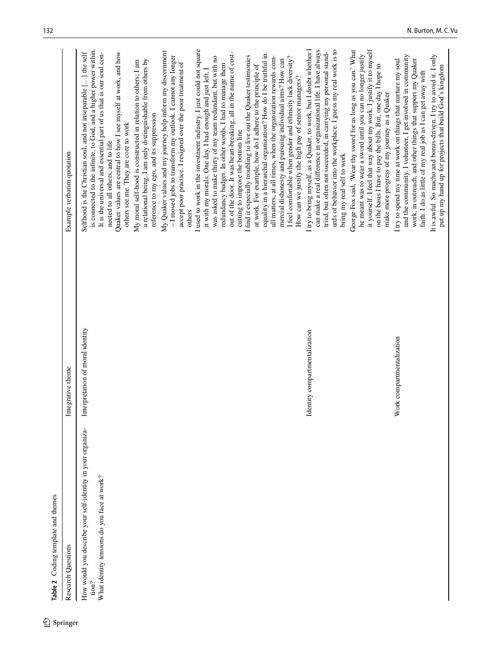<span id="page-5-0"></span>

| Table 2 Coding template and themes                                                                                           |                                  |                                                                                                                                                                                                                                                                                                                                                                                                                                                                                                                                                                                |
|------------------------------------------------------------------------------------------------------------------------------|----------------------------------|--------------------------------------------------------------------------------------------------------------------------------------------------------------------------------------------------------------------------------------------------------------------------------------------------------------------------------------------------------------------------------------------------------------------------------------------------------------------------------------------------------------------------------------------------------------------------------|
| Research Questions                                                                                                           | Integrative theme                | Example verbatim quotation                                                                                                                                                                                                                                                                                                                                                                                                                                                                                                                                                     |
| How would you describe your self-identity in your organiza-<br>What identity tensions do you face at work?<br>$\text{tion?}$ | Interpretation of moral identity | is connected to the infinite, to God, and a higher power within.<br>It is the universal and essential part of us that is our soul con-<br>Selfhood is the Christian soul, and not inseparable [] the self<br>Quaker values are central to how I see myself at work, and how<br>a relational being. I am only distinguishable from others by<br>My moral self-hood is constructed in relation to others; I am<br>others see me. They are core to work<br>nected to all others, and to life                                                                                      |
|                                                                                                                              |                                  | I used to work in the investment industry. I just could not square<br>My Quaker values and my journey help inform my discernment<br>out of the door. It was heart-breaking, all in the name of cost-<br>- I moved jobs to transform my outlook. I cannot any longer<br>was asked to make thirty of my team redundant, but with no<br>accept poor practice. I resigned over the poor treatment of<br>redundancy budget. In other words, I had to manage them<br>it with my morals. One day, I had enough and just left. I<br>reference to my ego, and its suppression<br>others |
|                                                                                                                              |                                  | equality in a hierarchal organization? How do I be truthful in<br>I find it especially troubling to live out the Quaker testimonies<br>all matters, at all times, when the organization rewards com-<br>I feel comfortable when gender and ethnicity lack diversity?<br>mercial dishonesty and pursuing individual aims? How can<br>at work. For example, how do I adhere to the principle of<br>How can we justify the high pay of senior managers?<br>cutting to improve the bottom line                                                                                     |
|                                                                                                                              | Identity compartmentalization    | I try to bring myself, as a Quaker, to work, but I doubt whether I<br>ards of behavior into the workplace. I guess my real work is to<br>can make a real difference in organizational life. I have always<br>tried, but often not succeeded, in carrying my personal stand-<br>bring my real self to work                                                                                                                                                                                                                                                                      |
|                                                                                                                              |                                  | it yourself. I feel that way about my work. I justify it to myself<br>George Fox said, 'Wear thy sword for as long as you can.' What<br>he meant was to wear a sword until you can no longer justify<br>on the basis I have to pay the bills. But, one day I hope to<br>make more progress of my journey as a Quaker                                                                                                                                                                                                                                                           |
|                                                                                                                              | Work compartmentalization        | and the community. I volunteer, I get involved in community<br>work, in outreach, and other things that support my Quaker<br>I try to spend my time at work on things that nurture my soul<br>faith. I do as little of my real job as I can get away with                                                                                                                                                                                                                                                                                                                      |
|                                                                                                                              |                                  | It is awful. So macho and bonus-driven. I try to avoid it. I only<br>put up my hand up for projects that build God's kingdom                                                                                                                                                                                                                                                                                                                                                                                                                                                   |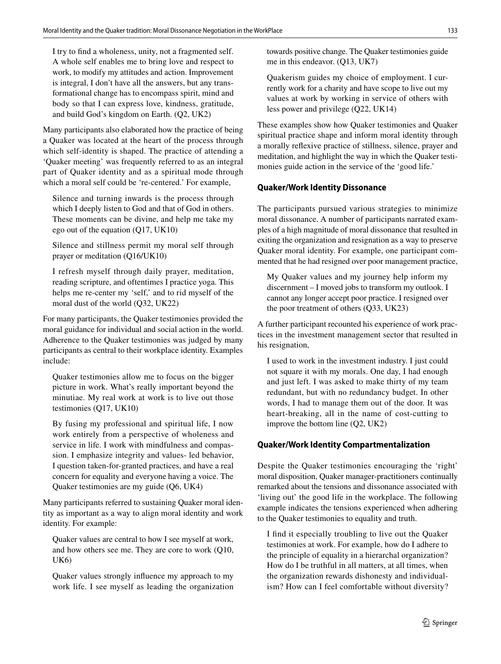I try to fnd a wholeness, unity, not a fragmented self. A whole self enables me to bring love and respect to work, to modify my attitudes and action. Improvement is integral, I don't have all the answers, but any transformational change has to encompass spirit, mind and body so that I can express love, kindness, gratitude, and build God's kingdom on Earth. (Q2, UK2)

Many participants also elaborated how the practice of being a Quaker was located at the heart of the process through which self-identity is shaped. The practice of attending a 'Quaker meeting' was frequently referred to as an integral part of Quaker identity and as a spiritual mode through which a moral self could be 're-centered.' For example,

Silence and turning inwards is the process through which I deeply listen to God and that of God in others. These moments can be divine, and help me take my ego out of the equation (Q17, UK10)

Silence and stillness permit my moral self through prayer or meditation (Q16/UK10)

I refresh myself through daily prayer, meditation, reading scripture, and oftentimes I practice yoga. This helps me re-center my 'self,' and to rid myself of the moral dust of the world (Q32, UK22)

For many participants, the Quaker testimonies provided the moral guidance for individual and social action in the world. Adherence to the Quaker testimonies was judged by many participants as central to their workplace identity. Examples include:

Quaker testimonies allow me to focus on the bigger picture in work. What's really important beyond the minutiae. My real work at work is to live out those testimonies (Q17, UK10)

By fusing my professional and spiritual life, I now work entirely from a perspective of wholeness and service in life. I work with mindfulness and compassion. I emphasize integrity and values- led behavior, I question taken-for-granted practices, and have a real concern for equality and everyone having a voice. The Quaker testimonies are my guide (Q6, UK4)

Many participants referred to sustaining Quaker moral identity as important as a way to align moral identity and work identity. For example:

Quaker values are central to how I see myself at work, and how others see me. They are core to work (Q10, UK6)

Quaker values strongly infuence my approach to my work life. I see myself as leading the organization towards positive change. The Quaker testimonies guide me in this endeavor. (Q13, UK7)

Quakerism guides my choice of employment. I currently work for a charity and have scope to live out my values at work by working in service of others with less power and privilege (Q22, UK14)

These examples show how Quaker testimonies and Quaker spiritual practice shape and inform moral identity through a morally refexive practice of stillness, silence, prayer and meditation, and highlight the way in which the Quaker testimonies guide action in the service of the 'good life.'

## **Quaker/Work Identity Dissonance**

The participants pursued various strategies to minimize moral dissonance. A number of participants narrated examples of a high magnitude of moral dissonance that resulted in exiting the organization and resignation as a way to preserve Quaker moral identity. For example, one participant commented that he had resigned over poor management practice,

My Quaker values and my journey help inform my discernment – I moved jobs to transform my outlook. I cannot any longer accept poor practice. I resigned over the poor treatment of others (Q33, UK23)

A further participant recounted his experience of work practices in the investment management sector that resulted in his resignation,

I used to work in the investment industry. I just could not square it with my morals. One day, I had enough and just left. I was asked to make thirty of my team redundant, but with no redundancy budget. In other words, I had to manage them out of the door. It was heart-breaking, all in the name of cost-cutting to improve the bottom line (Q2, UK2)

### **Quaker/Work Identity Compartmentalization**

Despite the Quaker testimonies encouraging the 'right' moral disposition, Quaker manager-practitioners continually remarked about the tensions and dissonance associated with 'living out' the good life in the workplace. The following example indicates the tensions experienced when adhering to the Quaker testimonies to equality and truth.

I fnd it especially troubling to live out the Quaker testimonies at work. For example, how do I adhere to the principle of equality in a hierarchal organization? How do I be truthful in all matters, at all times, when the organization rewards dishonesty and individualism? How can I feel comfortable without diversity?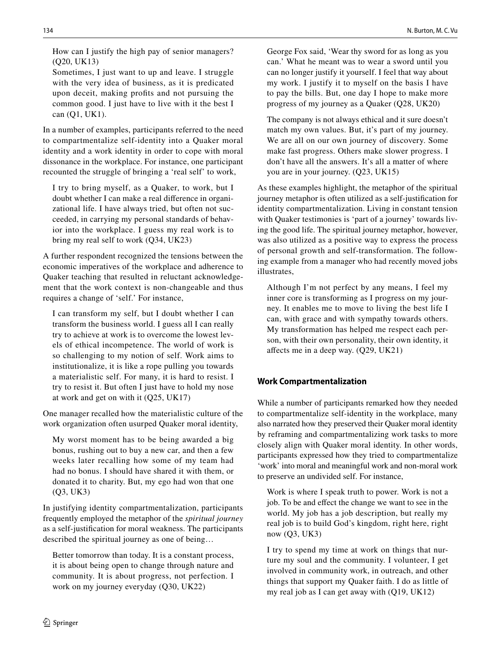How can I justify the high pay of senior managers? (Q20, UK13)

Sometimes, I just want to up and leave. I struggle with the very idea of business, as it is predicated upon deceit, making profts and not pursuing the common good. I just have to live with it the best I can (Q1, UK1).

In a number of examples, participants referred to the need to compartmentalize self-identity into a Quaker moral identity and a work identity in order to cope with moral dissonance in the workplace. For instance, one participant recounted the struggle of bringing a 'real self' to work,

I try to bring myself, as a Quaker, to work, but I doubt whether I can make a real diference in organizational life. I have always tried, but often not succeeded, in carrying my personal standards of behavior into the workplace. I guess my real work is to bring my real self to work (Q34, UK23)

A further respondent recognized the tensions between the economic imperatives of the workplace and adherence to Quaker teaching that resulted in reluctant acknowledgement that the work context is non-changeable and thus requires a change of 'self.' For instance,

I can transform my self, but I doubt whether I can transform the business world. I guess all I can really try to achieve at work is to overcome the lowest levels of ethical incompetence. The world of work is so challenging to my notion of self. Work aims to institutionalize, it is like a rope pulling you towards a materialistic self. For many, it is hard to resist. I try to resist it. But often I just have to hold my nose at work and get on with it (Q25, UK17)

One manager recalled how the materialistic culture of the work organization often usurped Quaker moral identity,

My worst moment has to be being awarded a big bonus, rushing out to buy a new car, and then a few weeks later recalling how some of my team had had no bonus. I should have shared it with them, or donated it to charity. But, my ego had won that one (Q3, UK3)

In justifying identity compartmentalization, participants frequently employed the metaphor of the *spiritual journey* as a self-justifcation for moral weakness. The participants described the spiritual journey as one of being…

Better tomorrow than today. It is a constant process, it is about being open to change through nature and community. It is about progress, not perfection. I work on my journey everyday (Q30, UK22)

George Fox said, 'Wear thy sword for as long as you can.' What he meant was to wear a sword until you can no longer justify it yourself. I feel that way about my work. I justify it to myself on the basis I have to pay the bills. But, one day I hope to make more progress of my journey as a Quaker (Q28, UK20)

The company is not always ethical and it sure doesn't match my own values. But, it's part of my journey. We are all on our own journey of discovery. Some make fast progress. Others make slower progress. I don't have all the answers. It's all a matter of where you are in your journey. (Q23, UK15)

As these examples highlight, the metaphor of the spiritual journey metaphor is often utilized as a self-justifcation for identity compartmentalization. Living in constant tension with Quaker testimonies is 'part of a journey' towards living the good life. The spiritual journey metaphor, however, was also utilized as a positive way to express the process of personal growth and self-transformation. The following example from a manager who had recently moved jobs illustrates,

Although I'm not perfect by any means, I feel my inner core is transforming as I progress on my journey. It enables me to move to living the best life I can, with grace and with sympathy towards others. My transformation has helped me respect each person, with their own personality, their own identity, it afects me in a deep way. (Q29, UK21)

## **Work Compartmentalization**

While a number of participants remarked how they needed to compartmentalize self-identity in the workplace, many also narrated how they preserved their Quaker moral identity by reframing and compartmentalizing work tasks to more closely align with Quaker moral identity. In other words, participants expressed how they tried to compartmentalize 'work' into moral and meaningful work and non-moral work to preserve an undivided self. For instance,

Work is where I speak truth to power. Work is not a job. To be and efect the change we want to see in the world. My job has a job description, but really my real job is to build God's kingdom, right here, right now (Q3, UK3)

I try to spend my time at work on things that nurture my soul and the community. I volunteer, I get involved in community work, in outreach, and other things that support my Quaker faith. I do as little of my real job as I can get away with (Q19, UK12)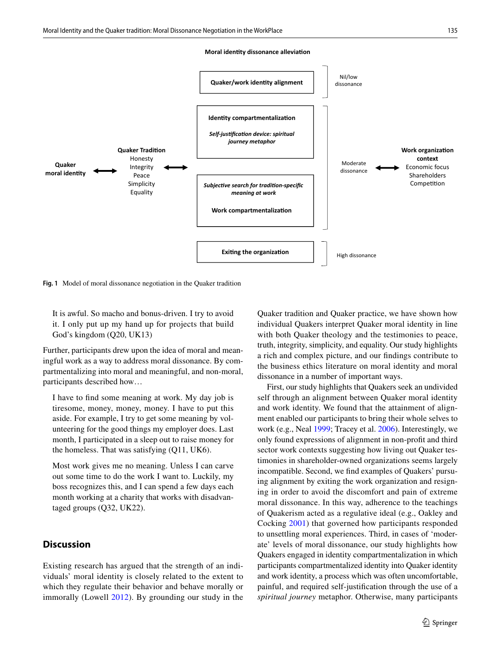#### **Moral identity dissonance alleviation**



<span id="page-8-0"></span>**Fig. 1** Model of moral dissonance negotiation in the Quaker tradition

It is awful. So macho and bonus-driven. I try to avoid it. I only put up my hand up for projects that build God's kingdom (Q20, UK13)

Further, participants drew upon the idea of moral and meaningful work as a way to address moral dissonance. By compartmentalizing into moral and meaningful, and non-moral, participants described how…

I have to fnd some meaning at work. My day job is tiresome, money, money, money. I have to put this aside. For example, I try to get some meaning by volunteering for the good things my employer does. Last month, I participated in a sleep out to raise money for the homeless. That was satisfying (Q11, UK6).

Most work gives me no meaning. Unless I can carve out some time to do the work I want to. Luckily, my boss recognizes this, and I can spend a few days each month working at a charity that works with disadvantaged groups (Q32, UK22).

## **Discussion**

Existing research has argued that the strength of an individuals' moral identity is closely related to the extent to which they regulate their behavior and behave morally or immorally (Lowell [2012](#page-12-1)). By grounding our study in the Quaker tradition and Quaker practice, we have shown how individual Quakers interpret Quaker moral identity in line with both Quaker theology and the testimonies to peace, truth, integrity, simplicity, and equality. Our study highlights a rich and complex picture, and our fndings contribute to the business ethics literature on moral identity and moral dissonance in a number of important ways.

First, our study highlights that Quakers seek an undivided self through an alignment between Quaker moral identity and work identity. We found that the attainment of alignment enabled our participants to bring their whole selves to work (e.g., Neal [1999;](#page-13-25) Tracey et al. [2006\)](#page-13-33). Interestingly, we only found expressions of alignment in non-proft and third sector work contexts suggesting how living out Quaker testimonies in shareholder-owned organizations seems largely incompatible. Second, we fnd examples of Quakers' pursuing alignment by exiting the work organization and resigning in order to avoid the discomfort and pain of extreme moral dissonance. In this way, adherence to the teachings of Quakerism acted as a regulative ideal (e.g., Oakley and Cocking [2001](#page-13-34)) that governed how participants responded to unsettling moral experiences. Third, in cases of 'moderate' levels of moral dissonance, our study highlights how Quakers engaged in identity compartmentalization in which participants compartmentalized identity into Quaker identity and work identity, a process which was often uncomfortable, painful, and required self-justifcation through the use of a *spiritual journey* metaphor. Otherwise, many participants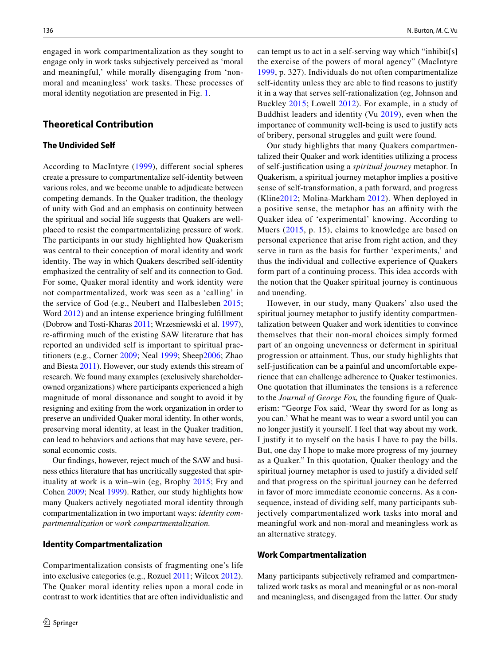engaged in work compartmentalization as they sought to engage only in work tasks subjectively perceived as 'moral and meaningful,' while morally disengaging from 'nonmoral and meaningless' work tasks. These processes of moral identity negotiation are presented in Fig. [1.](#page-8-0)

## **Theoretical Contribution**

### **The Undivided Self**

According to MacIntyre [\(1999](#page-13-21)), diferent social spheres create a pressure to compartmentalize self-identity between various roles, and we become unable to adjudicate between competing demands. In the Quaker tradition, the theology of unity with God and an emphasis on continuity between the spiritual and social life suggests that Quakers are wellplaced to resist the compartmentalizing pressure of work. The participants in our study highlighted how Quakerism was central to their conception of moral identity and work identity. The way in which Quakers described self-identity emphasized the centrality of self and its connection to God. For some, Quaker moral identity and work identity were not compartmentalized, work was seen as a 'calling' in the service of God (e.g., Neubert and Halbesleben [2015](#page-13-35); Word [2012](#page-14-5)) and an intense experience bringing fulfllment (Dobrow and Tosti-Kharas [2011](#page-12-30); Wrzesniewski et al. [1997](#page-14-6)), re-affirming much of the existing SAW literature that has reported an undivided self is important to spiritual practitioners (e.g., Corner [2009](#page-12-3); Neal [1999](#page-13-25); Sheep[2006;](#page-13-9) Zhao and Biesta [2011\)](#page-14-2). However, our study extends this stream of research. We found many examples (exclusively shareholderowned organizations) where participants experienced a high magnitude of moral dissonance and sought to avoid it by resigning and exiting from the work organization in order to preserve an undivided Quaker moral identity. In other words, preserving moral identity, at least in the Quaker tradition, can lead to behaviors and actions that may have severe, personal economic costs.

Our fndings, however, reject much of the SAW and business ethics literature that has uncritically suggested that spirituality at work is a win–win (eg, Brophy [2015](#page-12-22); Fry and Cohen [2009](#page-12-31); Neal [1999\)](#page-13-25). Rather, our study highlights how many Quakers actively negotiated moral identity through compartmentalization in two important ways: *identity compartmentalization* or *work compartmentalization.*

### **Identity Compartmentalization**

Compartmentalization consists of fragmenting one's life into exclusive categories (e.g., Rozuel [2011](#page-13-4); Wilcox [2012](#page-14-7)). The Quaker moral identity relies upon a moral code in contrast to work identities that are often individualistic and can tempt us to act in a self-serving way which "inhibit[s] the exercise of the powers of moral agency" (MacIntyre [1999,](#page-13-21) p. 327). Individuals do not often compartmentalize self-identity unless they are able to fnd reasons to justify it in a way that serves self-rationalization (eg, Johnson and Buckley [2015](#page-12-32); Lowell [2012\)](#page-12-1). For example, in a study of Buddhist leaders and identity (Vu [2019\)](#page-13-7), even when the importance of community well-being is used to justify acts of bribery, personal struggles and guilt were found.

Our study highlights that many Quakers compartmentalized their Quaker and work identities utilizing a process of self-justifcation using a *spiritual journey* metaphor. In Quakerism, a spiritual journey metaphor implies a positive sense of self-transformation, a path forward, and progress (Kline[2012;](#page-12-33) Molina-Markham [2012](#page-13-36)). When deployed in a positive sense, the metaphor has an afnity with the Quaker idea of 'experimental' knowing. According to Muers ([2015](#page-13-28), p. 15), claims to knowledge are based on personal experience that arise from right action, and they serve in turn as the basis for further 'experiments,' and thus the individual and collective experience of Quakers form part of a continuing process. This idea accords with the notion that the Quaker spiritual journey is continuous and unending.

However, in our study, many Quakers' also used the spiritual journey metaphor to justify identity compartmentalization between Quaker and work identities to convince themselves that their non-moral choices simply formed part of an ongoing unevenness or deferment in spiritual progression or attainment. Thus, our study highlights that self-justifcation can be a painful and uncomfortable experience that can challenge adherence to Quaker testimonies. One quotation that illuminates the tensions is a reference to the *Journal of George Fox,* the founding fgure of Quakerism: "George Fox said, 'Wear thy sword for as long as you can.' What he meant was to wear a sword until you can no longer justify it yourself. I feel that way about my work. I justify it to myself on the basis I have to pay the bills. But, one day I hope to make more progress of my journey as a Quaker." In this quotation, Quaker theology and the spiritual journey metaphor is used to justify a divided self and that progress on the spiritual journey can be deferred in favor of more immediate economic concerns. As a consequence, instead of dividing self, many participants subjectively compartmentalized work tasks into moral and meaningful work and non-moral and meaningless work as an alternative strategy.

### **Work Compartmentalization**

Many participants subjectively reframed and compartmentalized work tasks as moral and meaningful or as non-moral and meaningless, and disengaged from the latter. Our study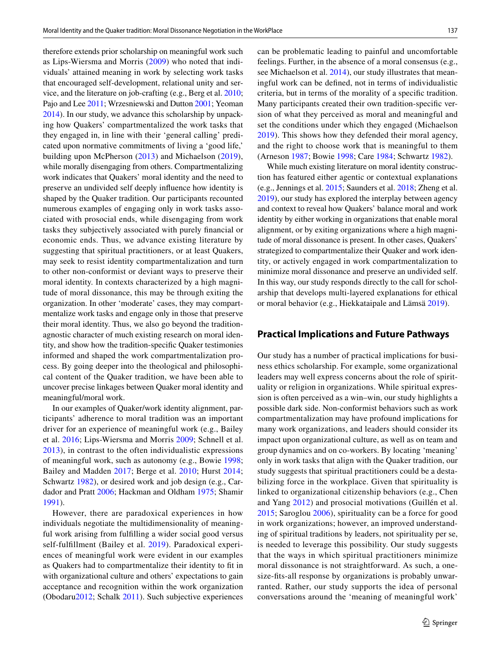therefore extends prior scholarship on meaningful work such as Lips-Wiersma and Morris ([2009\)](#page-12-34) who noted that individuals' attained meaning in work by selecting work tasks that encouraged self-development, relational unity and service, and the literature on job-crafting (e.g., Berg et al. [2010](#page-11-12); Pajo and Lee [2011;](#page-13-37) Wrzesniewski and Dutton [2001](#page-14-8); Yeoman [2014](#page-14-9)). In our study, we advance this scholarship by unpacking how Quakers' compartmentalized the work tasks that they engaged in, in line with their 'general calling' predicated upon normative commitments of living a 'good life,' building upon McPherson [\(2013\)](#page-13-38) and Michaelson ([2019\)](#page-13-39), while morally disengaging from others. Compartmentalizing work indicates that Quakers' moral identity and the need to preserve an undivided self deeply infuence how identity is shaped by the Quaker tradition. Our participants recounted numerous examples of engaging only in work tasks associated with prosocial ends, while disengaging from work tasks they subjectively associated with purely fnancial or economic ends. Thus, we advance existing literature by suggesting that spiritual practitioners, or at least Quakers, may seek to resist identity compartmentalization and turn to other non-conformist or deviant ways to preserve their moral identity. In contexts characterized by a high magnitude of moral dissonance, this may be through exiting the organization. In other 'moderate' cases, they may compartmentalize work tasks and engage only in those that preserve their moral identity. Thus, we also go beyond the traditionagnostic character of much existing research on moral identity, and show how the tradition-specifc Quaker testimonies informed and shaped the work compartmentalization process. By going deeper into the theological and philosophical content of the Quaker tradition, we have been able to uncover precise linkages between Quaker moral identity and meaningful/moral work.

In our examples of Quaker/work identity alignment, participants' adherence to moral tradition was an important driver for an experience of meaningful work (e.g., Bailey et al. [2016](#page-11-13); Lips-Wiersma and Morris [2009;](#page-12-34) Schnell et al. [2013\)](#page-13-40), in contrast to the often individualistic expressions of meaningful work, such as autonomy (e.g., Bowie [1998](#page-12-35); Bailey and Madden [2017](#page-11-14); Berge et al. [2010;](#page-11-12) Hurst [2014](#page-12-36); Schwartz [1982](#page-13-41)), or desired work and job design (e.g., Cardador and Pratt [2006;](#page-12-37) Hackman and Oldham [1975;](#page-12-38) Shamir [1991](#page-13-42)).

However, there are paradoxical experiences in how individuals negotiate the multidimensionality of meaningful work arising from fulflling a wider social good versus self-fulfllment (Bailey et al. [2019](#page-11-15)). Paradoxical experiences of meaningful work were evident in our examples as Quakers had to compartmentalize their identity to ft in with organizational culture and others' expectations to gain acceptance and recognition within the work organization (Obodaru[2012](#page-13-43); Schalk [2011](#page-13-44)). Such subjective experiences can be problematic leading to painful and uncomfortable feelings. Further, in the absence of a moral consensus (e.g., see Michaelson et al. [2014](#page-13-45)), our study illustrates that meaningful work can be defned, not in terms of individualistic criteria, but in terms of the morality of a specifc tradition. Many participants created their own tradition-specifc version of what they perceived as moral and meaningful and set the conditions under which they engaged (Michaelson [2019\)](#page-13-39). This shows how they defended their moral agency, and the right to choose work that is meaningful to them (Arneson [1987;](#page-11-16) Bowie [1998;](#page-12-35) Care [1984;](#page-12-39) Schwartz [1982\)](#page-13-41).

While much existing literature on moral identity construction has featured either agentic or contextual explanations (e.g., Jennings et al. [2015](#page-12-10); Saunders et al. [2018](#page-13-15); Zheng et al. [2019](#page-14-1)), our study has explored the interplay between agency and context to reveal how Quakers' balance moral and work identity by either working in organizations that enable moral alignment, or by exiting organizations where a high magnitude of moral dissonance is present. In other cases, Quakers' strategized to compartmentalize their Quaker and work identity, or actively engaged in work compartmentalization to minimize moral dissonance and preserve an undivided self. In this way, our study responds directly to the call for scholarship that develops multi-layered explanations for ethical or moral behavior (e.g., Hiekkataipale and Lämsä [2019\)](#page-12-40).

## **Practical Implications and Future Pathways**

Our study has a number of practical implications for business ethics scholarship. For example, some organizational leaders may well express concerns about the role of spirituality or religion in organizations. While spiritual expression is often perceived as a win–win, our study highlights a possible dark side. Non-conformist behaviors such as work compartmentalization may have profound implications for many work organizations, and leaders should consider its impact upon organizational culture, as well as on team and group dynamics and on co-workers. By locating 'meaning' only in work tasks that align with the Quaker tradition, our study suggests that spiritual practitioners could be a destabilizing force in the workplace. Given that spirituality is linked to organizational citizenship behaviors (e.g., Chen and Yang [2012](#page-12-41)) and prosocial motivations (Guillén et al. [2015;](#page-12-42) Saroglou [2006\)](#page-13-46), spirituality can be a force for good in work organizations; however, an improved understanding of spiritual traditions by leaders, not spirituality per se, is needed to leverage this possibility. Our study suggests that the ways in which spiritual practitioners minimize moral dissonance is not straightforward. As such, a onesize-fts-all response by organizations is probably unwarranted. Rather, our study supports the idea of personal conversations around the 'meaning of meaningful work'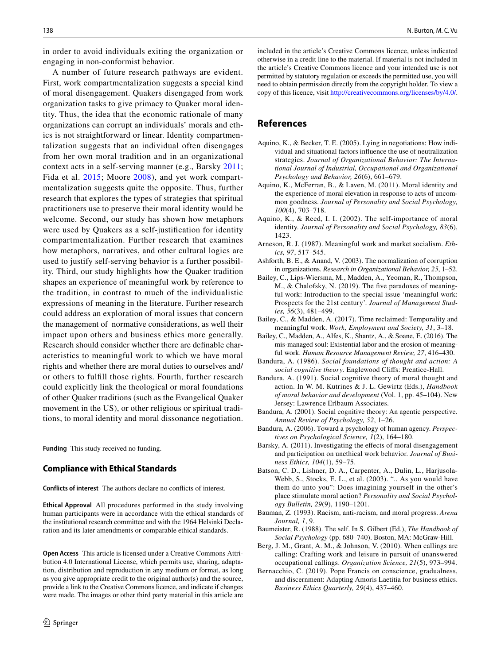in order to avoid individuals exiting the organization or engaging in non-conformist behavior.

A number of future research pathways are evident. First, work compartmentalization suggests a special kind of moral disengagement. Quakers disengaged from work organization tasks to give primacy to Quaker moral identity. Thus, the idea that the economic rationale of many organizations can corrupt an individuals' morals and ethics is not straightforward or linear. Identity compartmentalization suggests that an individual often disengages from her own moral tradition and in an organizational context acts in a self-serving manner (e.g., Barsky [2011](#page-11-17); Fida et al. [2015](#page-12-43); Moore [2008](#page-13-23)), and yet work compartmentalization suggests quite the opposite. Thus, further research that explores the types of strategies that spiritual practitioners use to preserve their moral identity would be welcome. Second, our study has shown how metaphors were used by Quakers as a self-justifcation for identity compartmentalization. Further research that examines how metaphors, narratives, and other cultural logics are used to justify self-serving behavior is a further possibility. Third, our study highlights how the Quaker tradition shapes an experience of meaningful work by reference to the tradition, in contrast to much of the individualistic expressions of meaning in the literature. Further research could address an exploration of moral issues that concern the management of normative considerations, as well their impact upon others and business ethics more generally. Research should consider whether there are defnable characteristics to meaningful work to which we have moral rights and whether there are moral duties to ourselves and/ or others to fulfll those rights. Fourth, further research could explicitly link the theological or moral foundations of other Quaker traditions (such as the Evangelical Quaker movement in the US), or other religious or spiritual traditions, to moral identity and moral dissonance negotiation.

**Funding** This study received no funding.

### **Compliance with Ethical Standards**

**Conflicts of interest** The authors declare no conficts of interest.

**Ethical Approval** All procedures performed in the study involving human participants were in accordance with the ethical standards of the institutional research committee and with the 1964 Helsinki Declaration and its later amendments or comparable ethical standards.

**Open Access** This article is licensed under a Creative Commons Attribution 4.0 International License, which permits use, sharing, adaptation, distribution and reproduction in any medium or format, as long as you give appropriate credit to the original author(s) and the source, provide a link to the Creative Commons licence, and indicate if changes were made. The images or other third party material in this article are included in the article's Creative Commons licence, unless indicated otherwise in a credit line to the material. If material is not included in the article's Creative Commons licence and your intended use is not permitted by statutory regulation or exceeds the permitted use, you will need to obtain permission directly from the copyright holder. To view a copy of this licence, visit<http://creativecommons.org/licenses/by/4.0/>.

## **References**

- <span id="page-11-5"></span>Aquino, K., & Becker, T. E. (2005). Lying in negotiations: How individual and situational factors infuence the use of neutralization strategies. *Journal of Organizational Behavior: The International Journal of Industrial, Occupational and Organizational Psychology and Behavior, 26*(6), 661–679.
- <span id="page-11-2"></span>Aquino, K., McFerran, B., & Laven, M. (2011). Moral identity and the experience of moral elevation in response to acts of uncommon goodness. *Journal of Personality and Social Psychology, 100*(4), 703–718.
- <span id="page-11-1"></span>Aquino, K., & Reed, I. I. (2002). The self-importance of moral identity. *Journal of Personality and Social Psychology, 83*(6), 1423.
- <span id="page-11-16"></span>Arneson, R. J. (1987). Meaningful work and market socialism. *Ethics, 97*, 517–545.
- <span id="page-11-10"></span>Ashforth, B. E., & Anand, V. (2003). The normalization of corruption in organizations. *Research in Organizational Behavior, 25*, 1–52.
- <span id="page-11-15"></span>Bailey, C., Lips-Wiersma, M., Madden, A., Yeoman, R., Thompson, M., & Chalofsky, N. (2019). The fve paradoxes of meaningful work: Introduction to the special issue 'meaningful work: Prospects for the 21st century'. *Journal of Management Studies, 56*(3), 481–499.
- <span id="page-11-14"></span>Bailey, C., & Madden, A. (2017). Time reclaimed: Temporality and meaningful work. *Work, Employment and Society, 31*, 3–18.
- <span id="page-11-13"></span>Bailey, C., Madden, A., Alfes, K., Shantz, A., & Soane, E. (2016). The mis-managed soul: Existential labor and the erosion of meaningful work. *Human Resource Management Review, 27*, 416–430.
- <span id="page-11-3"></span>Bandura, A. (1986). *Social foundations of thought and action: A social cognitive theory*. Englewood Clifs: Prentice-Hall.
- <span id="page-11-7"></span>Bandura, A. (1991). Social cognitive theory of moral thought and action. In W. M. Kutrines & J. L. Gewirtz (Eds.), *Handbook of moral behavior and development* (Vol. 1, pp. 45–104). New Jersey: Lawrence Erlbaum Associates.
- <span id="page-11-8"></span>Bandura, A. (2001). Social cognitive theory: An agentic perspective. *Annual Review of Psychology, 52*, 1–26.
- <span id="page-11-9"></span>Bandura, A. (2006). Toward a psychology of human agency. *Perspectives on Psychological Science, 1*(2), 164–180.
- <span id="page-11-17"></span>Barsky, A. (2011). Investigating the effects of moral disengagement and participation on unethical work behavior. *Journal of Business Ethics, 104*(1), 59–75.
- <span id="page-11-4"></span>Batson, C. D., Lishner, D. A., Carpenter, A., Dulin, L., Harjusola-Webb, S., Stocks, E. L., et al. (2003). ".. As you would have them do unto you": Does imagining yourself in the other's place stimulate moral action? *Personality and Social Psychology Bulletin, 29*(9), 1190–1201.
- <span id="page-11-0"></span>Bauman, Z. (1993). Racism, anti-racism, and moral progress. *Arena Journal, 1*, 9.
- <span id="page-11-6"></span>Baumeister, R. (1988). The self. In S. Gilbert (Ed.), *The Handbook of Social Psychology* (pp. 680–740). Boston, MA: McGraw-Hill.
- <span id="page-11-12"></span>Berg, J. M., Grant, A. M., & Johnson, V. (2010). When callings are calling: Crafting work and leisure in pursuit of unanswered occupational callings. *Organization Science, 21*(5), 973–994.
- <span id="page-11-11"></span>Bernacchio, C. (2019). Pope Francis on conscience, gradualness, and discernment: Adapting Amoris Laetitia for business ethics. *Business Ethics Quarterly, 29*(4), 437–460.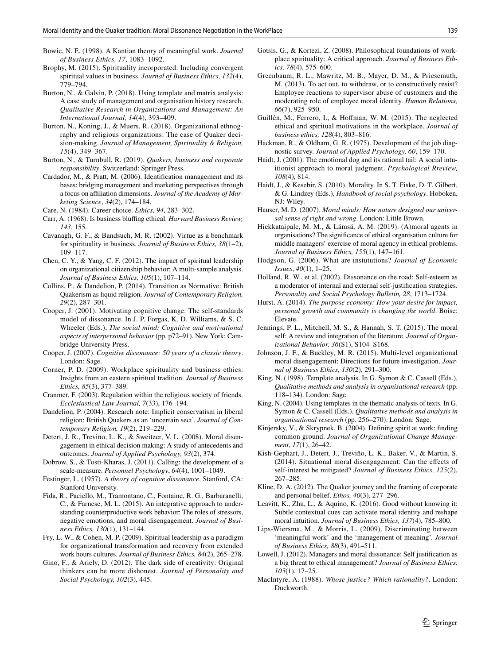- <span id="page-12-35"></span>Bowie, N. E. (1998). A Kantian theory of meaningful work. *Journal of Business Ethics, 17*, 1083–1092.
- <span id="page-12-22"></span>Brophy, M. (2015). Spirituality incorporated: Including convergent spiritual values in business. *Journal of Business Ethics, 132*(4), 779–794.
- <span id="page-12-29"></span>Burton, N., & Galvin, P. (2018). Using template and matrix analysis: A case study of management and organisation history research. *Qualitative Research in Organizations and Management: An International Journal, 14*(4), 393–409.
- <span id="page-12-6"></span>Burton, N., Koning, J., & Muers, R. (2018). Organizational ethnography and religious organizations: The case of Quaker decision-making. *Journal of Management, Spirituality & Religion, 15*(4), 349–367.
- <span id="page-12-23"></span>Burton, N., & Turnbull, R. (2019). *Quakers, business and corporate responsibility*. Switzerland: Springer Press.
- <span id="page-12-37"></span>Cardador, M., & Pratt, M. (2006). Identifcation management and its bases: bridging management and marketing perspectives through a focus on afliation dimensions. *Journal of the Academy of Marketing Science*, *34*(2), 174–184.
- <span id="page-12-39"></span>Care, N. (1984). Career choice. *Ethics, 94*, 283–302.
- <span id="page-12-19"></span>Carr, A. (1968). Is business blufng ethical. *Harvard Business Review, 143*, 155.
- <span id="page-12-20"></span>Cavanagh, G. F., & Bandsuch, M. R. (2002). Virtue as a benchmark for spirituality in business. *Journal of Business Ethics, 38*(1–2), 109–117.
- <span id="page-12-41"></span>Chen, C. Y., & Yang, C. F. (2012). The impact of spiritual leadership on organizational citizenship behavior: A multi-sample analysis. *Journal of Business Ethics, 105*(1), 107–114.
- <span id="page-12-24"></span>Collins, P., & Dandelion, P. (2014). Transition as Normative: British Quakerism as liquid religion. *Journal of Contemporary Religion, 29*(2), 287–301.
- <span id="page-12-11"></span>Cooper, J. (2001). Motivating cognitive change: The self-standards model of dissonance. In J. P. Forgas, K. D. Williams, & S. C. Wheeler (Eds.), *The social mind: Cognitive and motivational aspects of interpersonal behavior* (pp. p72–91). New York: Cambridge University Press.
- <span id="page-12-17"></span>Cooper, J. (2007). *Cognitive dissonance: 50 years of a classic theory*. London: Sage.
- <span id="page-12-3"></span>Corner, P. D. (2009). Workplace spirituality and business ethics: Insights from an eastern spiritual tradition. *Journal of Business Ethics, 85*(3), 377–389.
- <span id="page-12-25"></span>Cranmer, F. (2003). Regulation within the religious society of friends. *Ecclesiastical Law Journal, 7*(33), 176–194.
- <span id="page-12-15"></span>Dandelion, P. (2004). Research note: Implicit conservatism in liberal religion: British Quakers as an 'uncertain sect'. *Journal of Contemporary Religion, 19*(2), 219–229.
- <span id="page-12-7"></span>Detert, J. R., Treviño, L. K., & Sweitzer, V. L. (2008). Moral disengagement in ethical decision making: A study of antecedents and outcomes. *Journal of Applied Psychology, 93*(2), 374.
- <span id="page-12-30"></span>Dobrow, S., & Tosti-Kharas, J. (2011). Calling: the development of a scale-measure. *Personnel Psychology*, *64*(4), 1001–1049.
- <span id="page-12-14"></span>Festinger, L. (1957). *A theory of cognitive dissonance*. Stanford, CA: Stanford University.
- <span id="page-12-43"></span>Fida, R., Paciello, M., Tramontano, C., Fontaine, R. G., Barbaranelli, C., & Farnese, M. L. (2015). An integrative approach to understanding counterproductive work behavior: The roles of stressors, negative emotions, and moral disengagement. *Journal of Business Ethics, 130*(1), 131–144.
- <span id="page-12-31"></span>Fry, L. W., & Cohen, M. P. (2009). Spiritual leadership as a paradigm for organizational transformation and recovery from extended work hours cultures. *Journal of Business Ethics, 84*(2), 265–278.
- <span id="page-12-8"></span>Gino, F., & Ariely, D. (2012). The dark side of creativity: Original thinkers can be more dishonest. *Journal of Personality and Social Psychology, 102*(3), 445.
- <span id="page-12-18"></span>Gotsis, G., & Kortezi, Z. (2008). Philosophical foundations of workplace spirituality: A critical approach. *Journal of Business Ethics, 78*(4), 575–600.
- <span id="page-12-9"></span>Greenbaum, R. L., Mawritz, M. B., Mayer, D. M., & Priesemuth, M. (2013). To act out, to withdraw, or to constructively resist? Employee reactions to supervisor abuse of customers and the moderating role of employee moral identity. *Human Relations, 66*(7), 925–950.
- <span id="page-12-42"></span>Guillén, M., Ferrero, I., & Hofman, W. M. (2015). The neglected ethical and spiritual motivations in the workplace. *Journal of business ethics, 128*(4), 803–816.
- <span id="page-12-38"></span>Hackman, R., & Oldham, G. R. (1975). Development of the job diagnostic survey. *Journal of Applied Psychology, 60*, 159–170.
- <span id="page-12-12"></span>Haidt, J. (2001). The emotional dog and its rational tail: A social intuitionist approach to moral judgment. *Psychological Rreview, 108*(4), 814.
- <span id="page-12-13"></span>Haidt, J., & Kesebir, S. (2010). Morality. In S. T. Fiske, D. T. Gilbert, & G. Lindzey (Eds.), *Handbook of social psychology*. Hoboken, NJ: Wiley.
- <span id="page-12-16"></span>Hauser, M. D. (2007). *Moral minds: How nature designed our universal sense of right and wrong*. London: Little Brown.
- <span id="page-12-40"></span>Hiekkataipale, M. M., & Lämsä, A. M. (2019). (A)moral agents in organisations? The signifcance of ethical organisation culture for middle managers' exercise of moral agency in ethical problems. *Journal of Business Ethics, 155*(1), 147–161.
- <span id="page-12-26"></span>Hodgson, G. (2006). What are instututions? *Journal of Economic Issues*, *40*(1), 1–25.
- <span id="page-12-4"></span>Holland, R. W., et al. (2002). Dissonance on the road: Self-esteem as a moderator of internal and external self-justifcation strategies. *Personality and Social Psychology Bulletin, 28*, 1713–1724.
- <span id="page-12-36"></span>Hurst, A. (2014). *The purpose economy: How your desire for impact, personal growth and community is changing the world*. Boise: Elevate.
- <span id="page-12-10"></span>Jennings, P. L., Mitchell, M. S., & Hannah, S. T. (2015). The moral self: A review and integration of the literature. *Journal of Organizational Behavior, 36*(S1), S104–S168.
- <span id="page-12-32"></span>Johnson, J. F., & Buckley, M. R. (2015). Multi-level organizational moral disengagement: Directions for future investigation. *Journal of Business Ethics, 130*(2), 291–300.
- <span id="page-12-27"></span>King, N. (1998). Template analysis. In G. Symon & C. Cassell (Eds.), *Qualitative methods and analysis in organisational research* (pp. 118–134). London: Sage.
- <span id="page-12-28"></span>King, N. (2004). Using templates in the thematic analysis of texts. In G. Symon & C. Cassell (Eds.), *Qualitative methods and analysis in organisational research* (pp. 256–270). London: Sage.
- <span id="page-12-21"></span>Kinjersky, V., & Skrypnek, B. (2004). Defning spirit at work: fnding common ground. *Journal of Organizational Change Management*, *17*(1), 26–42.
- <span id="page-12-2"></span>Kish-Gephart, J., Detert, J., Treviño, L. K., Baker, V., & Martin, S. (2014). Situational moral disengagement: Can the effects of self-interest be mitigated? *Journal of Business Ethics, 125*(2), 267–285.
- <span id="page-12-33"></span>Kline, D. A. (2012). The Quaker journey and the framing of corporate and personal belief. *Ethos, 40*(3), 277–296.
- <span id="page-12-0"></span>Leavitt, K., Zhu, L., & Aquino, K. (2016). Good without knowing it: Subtle contextual cues can activate moral identity and reshape moral intuition. *Journal of Business Ethics, 137*(4), 785–800.
- <span id="page-12-34"></span>Lips-Wiersma, M., & Morris, L. (2009). Discriminating between 'meaningful work' and the 'management of meaning'. *Journal of Business Ethics, 88*(3), 491–511.
- <span id="page-12-1"></span>Lowell, J. (2012). Managers and moral dissonance: Self justifcation as a big threat to ethical management? *Journal of Business Ethics, 105*(1), 17–25.
- <span id="page-12-5"></span>MacIntyre, A. (1988). *Whose justice? Which rationality?*. London: Duckworth.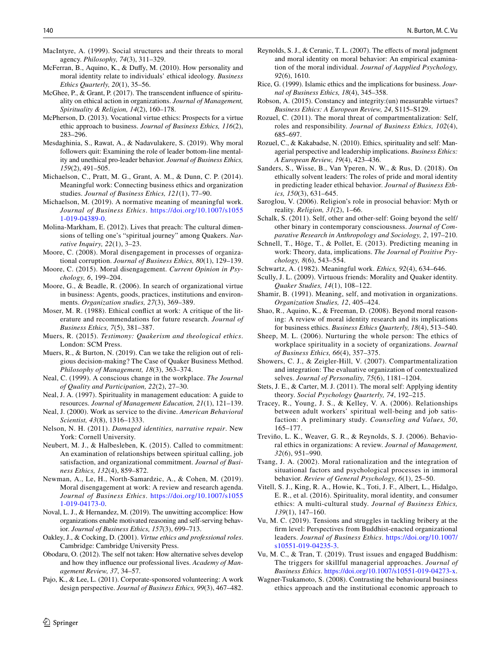<span id="page-13-21"></span>MacIntyre, A. (1999). Social structures and their threats to moral agency. *Philosophy, 74*(3), 311–329.

- <span id="page-13-0"></span>McFerran, B., Aquino, K., & Dufy, M. (2010). How personality and moral identity relate to individuals' ethical ideology. *Business Ethics Quarterly, 20*(1), 35–56.
- <span id="page-13-3"></span>McGhee, P., & Grant, P. (2017). The transcendent infuence of spirituality on ethical action in organizations. *Journal of Management, Spirituality & Religion, 14*(2), 160–178.
- <span id="page-13-38"></span>McPherson, D. (2013). Vocational virtue ethics: Prospects for a virtue ethic approach to business. *Journal of Business Ethics, 116*(2), 283–296.
- <span id="page-13-18"></span>Mesdaghinia, S., Rawat, A., & Nadavulakere, S. (2019). Why moral followers quit: Examining the role of leader bottom-line mentality and unethical pro-leader behavior. *Journal of Business Ethics, 159*(2), 491–505.
- <span id="page-13-45"></span>Michaelson, C., Pratt, M. G., Grant, A. M., & Dunn, C. P. (2014). Meaningful work: Connecting business ethics and organization studies. *Journal of Business Ethics, 121*(1), 77–90.
- <span id="page-13-39"></span>Michaelson, M. (2019). A normative meaning of meaningful work. *Journal of Business Ethics*. [https://doi.org/10.1007/s1055](https://doi.org/10.1007/s10551-019-04389-0) [1-019-04389-0.](https://doi.org/10.1007/s10551-019-04389-0)
- <span id="page-13-36"></span>Molina-Markham, E. (2012). Lives that preach: The cultural dimensions of telling one's "spiritual journey" among Quakers. *Narrative Inquiry, 22*(1), 3–23.
- <span id="page-13-23"></span>Moore, C. (2008). Moral disengagement in processes of organizational corruption. *Journal of Business Ethics, 80*(1), 129–139.
- <span id="page-13-20"></span>Moore, C. (2015). Moral disengagement. *Current Opinion in Psychology, 6*, 199–204.
- <span id="page-13-32"></span>Moore, G., & Beadle, R. (2006). In search of organizational virtue in business: Agents, goods, practices, institutions and environments. *Organization studies, 27*(3), 369–389.
- <span id="page-13-19"></span>Moser, M. R. (1988). Ethical confict at work: A critique of the literature and recommendations for future research. *Journal of Business Ethics, 7*(5), 381–387.
- <span id="page-13-28"></span>Muers, R. (2015). *Testimony: Quakerism and theological ethics*. London: SCM Press.
- <span id="page-13-27"></span>Muers, R., & Burton, N. (2019). Can we take the religion out of religious decision-making? The Case of Quaker Business Method. *Philosophy of Management, 18*(3), 363–374.
- <span id="page-13-25"></span>Neal, C. (1999). A conscious change in the workplace. *The Journal of Quality and Participation, 22*(2), 27–30.
- <span id="page-13-10"></span>Neal, J. A. (1997). Spirituality in management education: A guide to resources. *Journal of Management Education, 21*(1), 121–139.
- <span id="page-13-26"></span>Neal, J. (2000). Work as service to the divine. *American Behavioral Scientist, 43*(8), 1316–1333.
- <span id="page-13-12"></span>Nelson, N. H. (2011). *Damaged identities, narrative repair*. New York: Cornell University.
- <span id="page-13-35"></span>Neubert, M. J., & Halbesleben, K. (2015). Called to commitment: An examination of relationships between spiritual calling, job satisfaction, and organizational commitment. *Journal of Business Ethics, 132*(4), 859–872.
- <span id="page-13-22"></span>Newman, A., Le, H., North-Samardzic, A., & Cohen, M. (2019). Moral disengagement at work: A review and research agenda. *Journal of Business Ethics*. [https://doi.org/10.1007/s1055](https://doi.org/10.1007/s10551-019-04173-0) [1-019-04173-0.](https://doi.org/10.1007/s10551-019-04173-0)
- <span id="page-13-2"></span>Noval, L. J., & Hernandez, M. (2019). The unwitting accomplice: How organizations enable motivated reasoning and self-serving behavior. *Journal of Business Ethics, 157*(3), 699–713.
- <span id="page-13-34"></span>Oakley, J., & Cocking, D. (2001). *Virtue ethics and professional roles*. Cambridge: Cambridge University Press.
- <span id="page-13-43"></span>Obodaru, O. (2012). The self not taken: How alternative selves develop and how they infuence our professional lives. *Academy of Management Review, 37*, 34–57.
- <span id="page-13-37"></span>Pajo, K., & Lee, L. (2011). Corporate-sponsored volunteering: A work design perspective. *Journal of Business Ethics, 99*(3), 467–482.
- <span id="page-13-14"></span>Reynolds, S. J., & Ceranic, T. L. (2007). The effects of moral judgment and moral identity on moral behavior: An empirical examination of the moral individual. *Journal of Aapplied Psychology, 92*(6), 1610.
- <span id="page-13-31"></span>Rice, G. (1999). Islamic ethics and the implications for business. *Journal of Business Ethics, 18*(4), 345–358.
- <span id="page-13-30"></span>Robson, A. (2015). Constancy and integrity:(un) measurable virtues? *Business Ethics: A European Review, 24*, S115–S129.
- <span id="page-13-4"></span>Rozuel, C. (2011). The moral threat of compartmentalization: Self, roles and responsibility. *Journal of Business Ethics, 102*(4), 685–697.
- <span id="page-13-5"></span>Rozuel, C., & Kakabadse, N. (2010). Ethics, spirituality and self: Managerial perspective and leadership implications. *Business Ethics: A European Review, 19*(4), 423–436.
- <span id="page-13-15"></span>Sanders, S., Wisse, B., Van Yperen, N. W., & Rus, D. (2018). On ethically solvent leaders: The roles of pride and moral identity in predicting leader ethical behavior. *Journal of Business Ethics, 150*(3), 631–645.
- <span id="page-13-46"></span>Saroglou, V. (2006). Religion's role in prosocial behavior: Myth or reality. *Religion, 31*(2), 1–66.
- <span id="page-13-44"></span>Schalk, S. (2011). Self, other and other-self: Going beyond the self/ other binary in contemporary consciousness. *Journal of Comparative Research in Anthropology and Sociology, 2*, 197–210.
- <span id="page-13-40"></span>Schnell, T., Höge, T., & Pollet, E. (2013). Predicting meaning in work: Theory, data, implications. *The Journal of Positive Psychology, 8*(6), 543–554.
- <span id="page-13-41"></span>Schwartz, A. (1982). Meaningful work. *Ethics, 92*(4), 634–646.
- <span id="page-13-11"></span>Scully, J. L. (2009). Virtuous friends: Morality and Quaker identity. *Quaker Studies, 14*(1), 108–122.
- <span id="page-13-42"></span>Shamir, B. (1991). Meaning, self, and motivation in organizations. *Organization Studies, 12*, 405–424.
- <span id="page-13-1"></span>Shao, R., Aquino, K., & Freeman, D. (2008). Beyond moral reasoning: A review of moral identity research and its implications for business ethics. *Business Ethics Quarterly, 18*(4), 513–540.
- <span id="page-13-9"></span>Sheep, M. L. (2006). Nurturing the whole person: The ethics of workplace spirituality in a society of organizations. *Journal of Business Ethics, 66*(4), 357–375.
- <span id="page-13-24"></span>Showers, C. J., & Zeigler-Hill, V. (2007). Compartmentalization and integration: The evaluative organization of contextualized selves. *Journal of Personality, 75*(6), 1181–1204.
- <span id="page-13-17"></span>Stets, J. E., & Carter, M. J. (2011). The moral self: Applying identity theory. *Social Psychology Quarterly, 74*, 192–215.
- <span id="page-13-33"></span>Tracey, R., Young, J. S., & Kelley, V. A. (2006). Relationships between adult workers' spiritual well-being and job satisfaction: A preliminary study. *Counseling and Values, 50*, 165–177.
- <span id="page-13-13"></span>Treviño, L. K., Weaver, G. R., & Reynolds, S. J. (2006). Behavioral ethics in organizations: A review. *Journal of Management, 32*(6), 951–990.
- <span id="page-13-16"></span>Tsang, J. A. (2002). Moral rationalization and the integration of situational factors and psychological processes in immoral behavior. *Review of General Psychology, 6*(1), 25–50.
- <span id="page-13-6"></span>Vitell, S. J., King, R. A., Howie, K., Toti, J. F., Albert, L., Hidalgo, E. R., et al. (2016). Spirituality, moral identity, and consumer ethics: A multi-cultural study. *Journal of Business Ethics, 139*(1), 147–160.
- <span id="page-13-7"></span>Vu, M. C. (2019). Tensions and struggles in tackling bribery at the frm level: Perspectives from Buddhist-enacted organizational leaders. *Journal of Business Ethics*. [https://doi.org/10.1007/](https://doi.org/10.1007/s10551-019-04235-3) [s10551-019-04235-3.](https://doi.org/10.1007/s10551-019-04235-3)
- <span id="page-13-8"></span>Vu, M. C., & Tran, T. (2019). Trust issues and engaged Buddhism: The triggers for skillful managerial approaches. *Journal of Business Ethics*. [https://doi.org/10.1007/s10551-019-04273-x.](https://doi.org/10.1007/s10551-019-04273-x)
- <span id="page-13-29"></span>Wagner-Tsukamoto, S. (2008). Contrasting the behavioural business ethics approach and the institutional economic approach to